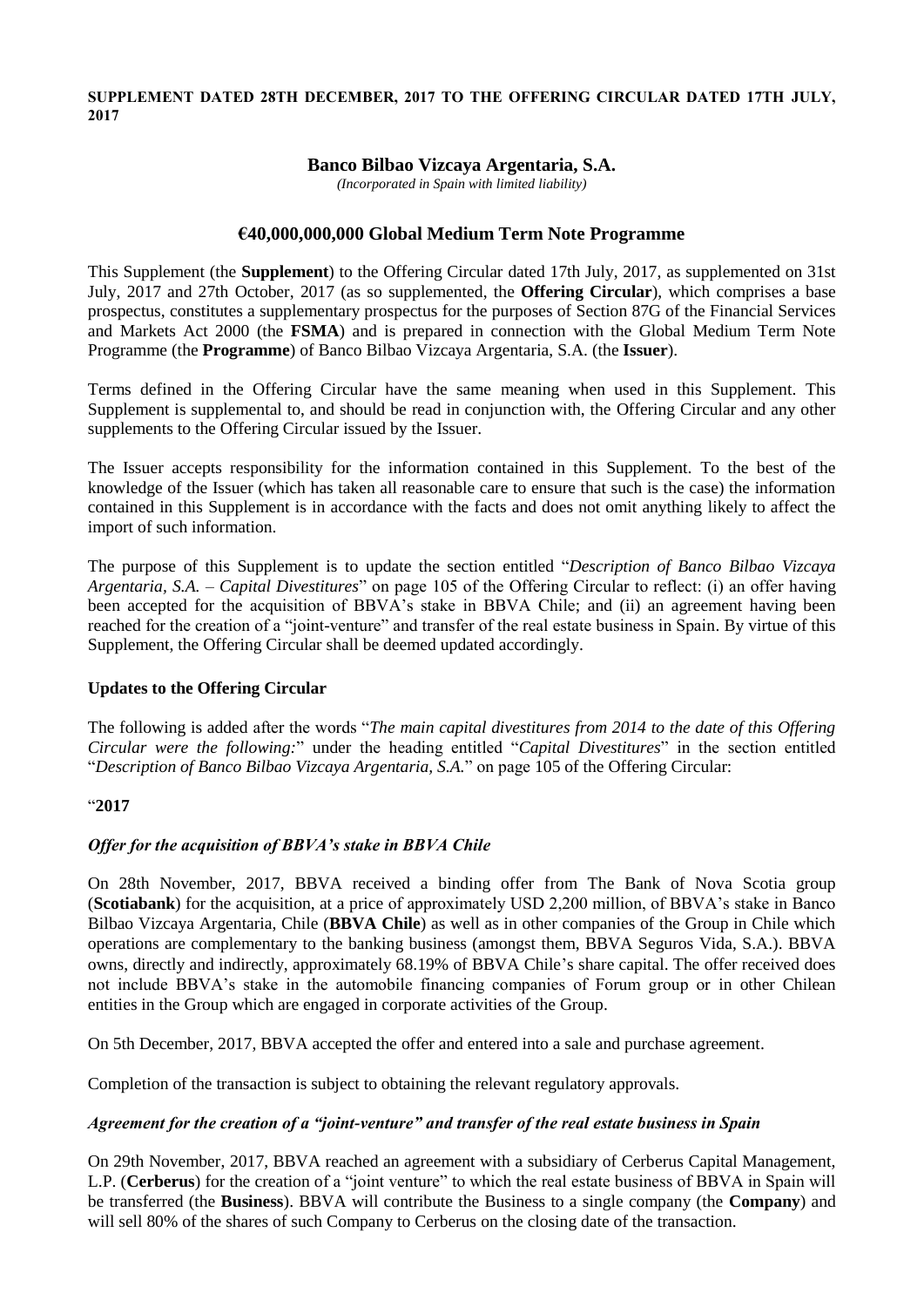#### **SUPPLEMENT DATED 28TH DECEMBER, 2017 TO THE OFFERING CIRCULAR DATED 17TH JULY, 2017**

## **Banco Bilbao Vizcaya Argentaria, S.A.**

*(Incorporated in Spain with limited liability)*

# **€40,000,000,000 Global Medium Term Note Programme**

This Supplement (the **Supplement**) to the Offering Circular dated 17th July, 2017, as supplemented on 31st July, 2017 and 27th October, 2017 (as so supplemented, the **Offering Circular**), which comprises a base prospectus, constitutes a supplementary prospectus for the purposes of Section 87G of the Financial Services and Markets Act 2000 (the **FSMA**) and is prepared in connection with the Global Medium Term Note Programme (the **Programme**) of Banco Bilbao Vizcaya Argentaria, S.A. (the **Issuer**).

Terms defined in the Offering Circular have the same meaning when used in this Supplement. This Supplement is supplemental to, and should be read in conjunction with, the Offering Circular and any other supplements to the Offering Circular issued by the Issuer.

The Issuer accepts responsibility for the information contained in this Supplement. To the best of the knowledge of the Issuer (which has taken all reasonable care to ensure that such is the case) the information contained in this Supplement is in accordance with the facts and does not omit anything likely to affect the import of such information.

The purpose of this Supplement is to update the section entitled "*Description of Banco Bilbao Vizcaya Argentaria, S.A. – Capital Divestitures*" on page 105 of the Offering Circular to reflect: (i) an offer having been accepted for the acquisition of BBVA's stake in BBVA Chile; and (ii) an agreement having been reached for the creation of a "joint-venture" and transfer of the real estate business in Spain. By virtue of this Supplement, the Offering Circular shall be deemed updated accordingly.

### **Updates to the Offering Circular**

The following is added after the words "*The main capital divestitures from 2014 to the date of this Offering Circular were the following:*" under the heading entitled "*Capital Divestitures*" in the section entitled "*Description of Banco Bilbao Vizcaya Argentaria, S.A.*" on page 105 of the Offering Circular:

### "**2017**

# *Offer for the acquisition of BBVA's stake in BBVA Chile*

On 28th November, 2017, BBVA received a binding offer from The Bank of Nova Scotia group (**Scotiabank**) for the acquisition, at a price of approximately USD 2,200 million, of BBVA's stake in Banco Bilbao Vizcaya Argentaria, Chile (**BBVA Chile**) as well as in other companies of the Group in Chile which operations are complementary to the banking business (amongst them, BBVA Seguros Vida, S.A.). BBVA owns, directly and indirectly, approximately 68.19% of BBVA Chile's share capital. The offer received does not include BBVA's stake in the automobile financing companies of Forum group or in other Chilean entities in the Group which are engaged in corporate activities of the Group.

On 5th December, 2017, BBVA accepted the offer and entered into a sale and purchase agreement.

Completion of the transaction is subject to obtaining the relevant regulatory approvals.

### *Agreement for the creation of a "joint-venture" and transfer of the real estate business in Spain*

On 29th November, 2017, BBVA reached an agreement with a subsidiary of Cerberus Capital Management, L.P. (**Cerberus**) for the creation of a "joint venture" to which the real estate business of BBVA in Spain will be transferred (the **Business**). BBVA will contribute the Business to a single company (the **Company**) and will sell 80% of the shares of such Company to Cerberus on the closing date of the transaction.